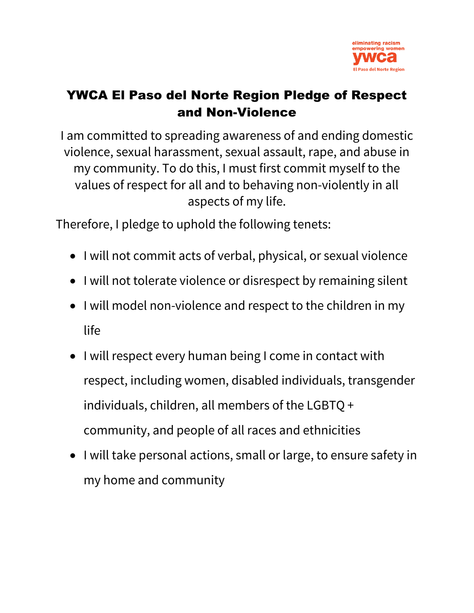

## YWCA El Paso del Norte Region Pledge of Respect and Non-Violence

I am committed to spreading awareness of and ending domestic violence, sexual harassment, sexual assault, rape, and abuse in my community. To do this, I must first commit myself to the values of respect for all and to behaving non-violently in all aspects of my life.

Therefore, I pledge to uphold the following tenets:

- I will not commit acts of verbal, physical, or sexual violence
- I will not tolerate violence or disrespect by remaining silent
- I will model non-violence and respect to the children in my life
- I will respect every human being I come in contact with respect, including women, disabled individuals, transgender individuals, children, all members of the LGBTQ + community, and people of all races and ethnicities
- I will take personal actions, small or large, to ensure safety in my home and community